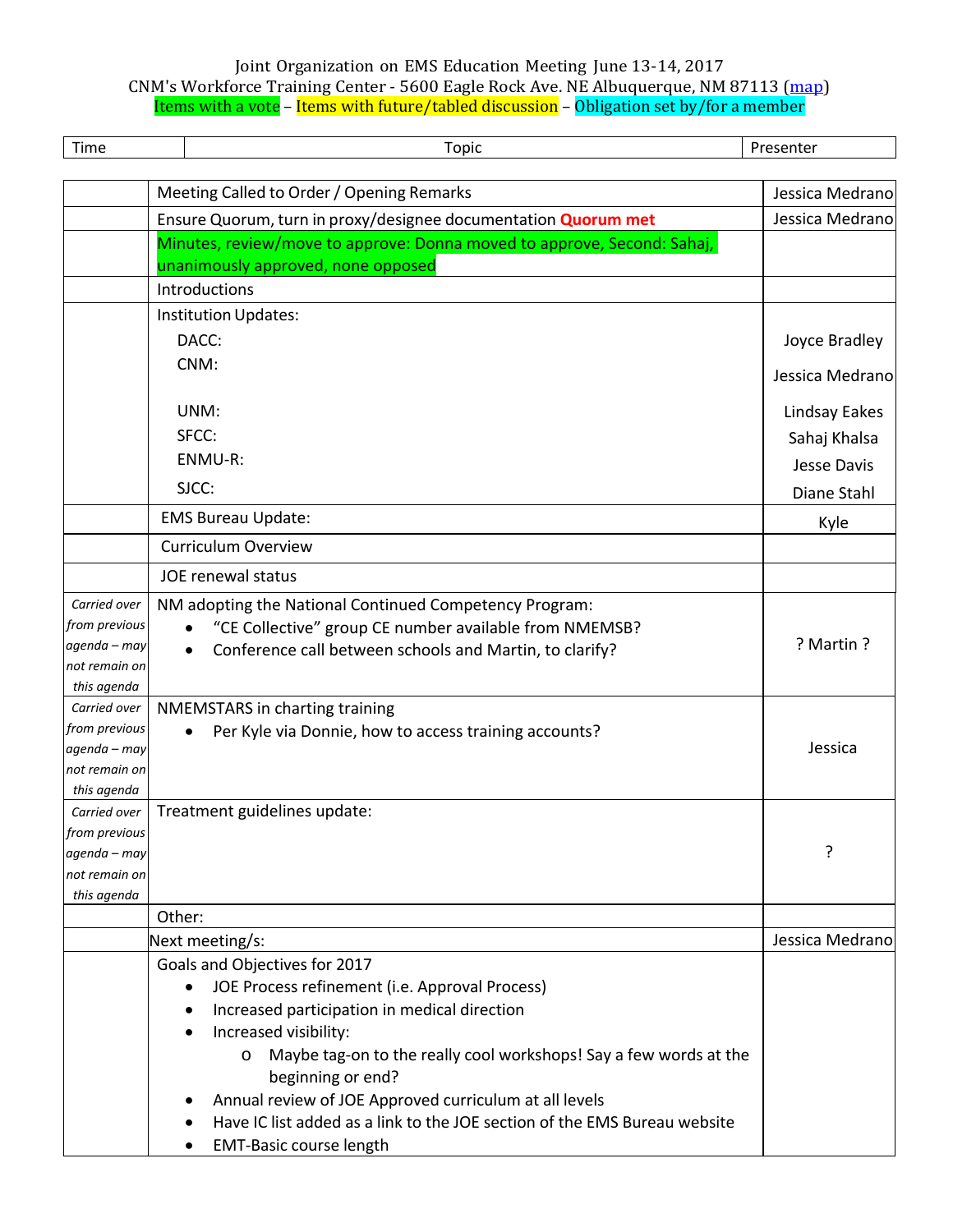## Joint Organization on EMS Education Meeting June 13-14, 2017 CNM's Workforce Training Center - 5600 Eagle Rock Ave. NE Albuquerque, NM 87113 (map) Items with a vote – Items with future/tabled discussion – Obligation set by/for a member

| Time                          | <b>Topic</b>                                                                                                     | Presenter       |
|-------------------------------|------------------------------------------------------------------------------------------------------------------|-----------------|
|                               | Meeting Called to Order / Opening Remarks                                                                        | Jessica Medrano |
|                               | Ensure Quorum, turn in proxy/designee documentation Quorum met                                                   | Jessica Medrano |
|                               | Minutes, review/move to approve: Donna moved to approve, Second: Sahaj,                                          |                 |
|                               | unanimously approved, none opposed                                                                               |                 |
|                               | Introductions                                                                                                    |                 |
|                               | Institution Updates:                                                                                             |                 |
|                               | DACC:                                                                                                            | Joyce Bradley   |
|                               | CNM:                                                                                                             |                 |
|                               |                                                                                                                  | Jessica Medrano |
|                               | UNM:                                                                                                             | Lindsay Eakes   |
|                               | SFCC:                                                                                                            | Sahaj Khalsa    |
|                               | ENMU-R:                                                                                                          | Jesse Davis     |
|                               | SJCC:                                                                                                            | Diane Stahl     |
|                               | <b>EMS Bureau Update:</b>                                                                                        | Kyle            |
|                               | <b>Curriculum Overview</b>                                                                                       |                 |
|                               | JOE renewal status                                                                                               |                 |
| Carried over<br>from previous | NM adopting the National Continued Competency Program:<br>"CE Collective" group CE number available from NMEMSB? |                 |
| agenda – may                  | Conference call between schools and Martin, to clarify?                                                          | ? Martin ?      |
| not remain on                 |                                                                                                                  |                 |
| this agenda                   |                                                                                                                  |                 |
| Carried over<br>from previous | NMEMSTARS in charting training                                                                                   |                 |
| agenda – may                  | Per Kyle via Donnie, how to access training accounts?                                                            | Jessica         |
| not remain on                 |                                                                                                                  |                 |
| this agenda                   |                                                                                                                  |                 |
| Carried over                  | Treatment guidelines update:                                                                                     |                 |
| from previous                 |                                                                                                                  |                 |
| agenda - may                  |                                                                                                                  | ?               |
| not remain on                 |                                                                                                                  |                 |
| this agenda                   | Other:                                                                                                           |                 |
|                               | Next meeting/s:                                                                                                  | Jessica Medrano |
|                               | Goals and Objectives for 2017                                                                                    |                 |
|                               | JOE Process refinement (i.e. Approval Process)<br>$\bullet$                                                      |                 |
|                               | Increased participation in medical direction                                                                     |                 |
|                               | Increased visibility:                                                                                            |                 |
|                               | Maybe tag-on to the really cool workshops! Say a few words at the<br>$\circ$                                     |                 |
|                               | beginning or end?                                                                                                |                 |
|                               | Annual review of JOE Approved curriculum at all levels                                                           |                 |
|                               | Have IC list added as a link to the JOE section of the EMS Bureau website                                        |                 |
|                               | <b>EMT-Basic course length</b>                                                                                   |                 |